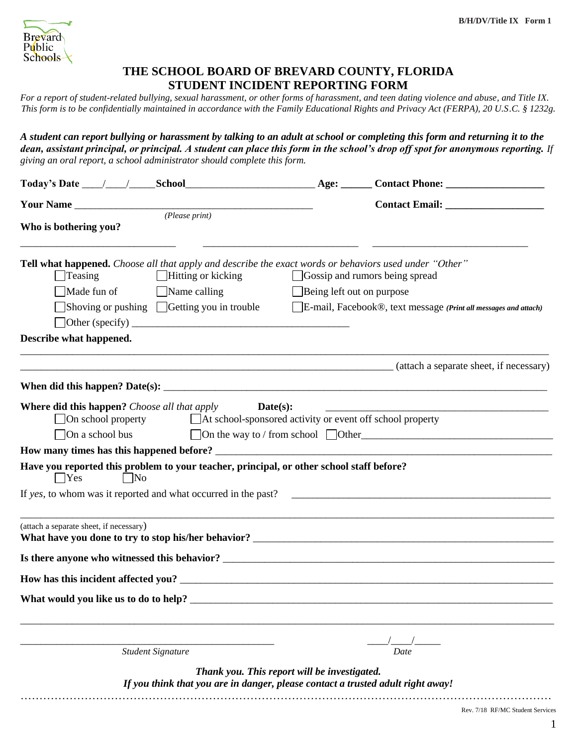

## **THE SCHOOL BOARD OF BREVARD COUNTY, FLORIDA STUDENT INCIDENT REPORTING FORM**

*For a report of student-related bullying, sexual harassment, or other forms of harassment, and teen dating violence and abuse, and Title IX. This form is to be confidentially maintained in accordance with the Family Educational Rights and Privacy Act (FERPA), 20 U.S.C. § 1232g.*

*A student can report bullying or harassment by talking to an adult at school or completing this form and returning it to the dean, assistant principal, or principal. A student can place this form in the school's drop off spot for anonymous reporting. If giving an oral report, a school administrator should complete this form.* 

| Who is bothering you?                                                   | (Please print)                                                                                                                                          |                                              |                                                                                                                   |
|-------------------------------------------------------------------------|---------------------------------------------------------------------------------------------------------------------------------------------------------|----------------------------------------------|-------------------------------------------------------------------------------------------------------------------|
| Teasing                                                                 | Tell what happened. Choose all that apply and describe the exact words or behaviors used under "Other"<br>$\Box$ Hitting or kicking                     |                                              | Gossip and rumors being spread                                                                                    |
| Made fun of                                                             | $\Box$ Name calling                                                                                                                                     | Being left out on purpose                    |                                                                                                                   |
|                                                                         | $\Box$ Shoving or pushing $\Box$ Getting you in trouble<br>Other (specify) $\qquad \qquad$ (specify)                                                    |                                              | E-mail, Facebook®, text message (Print all messages and attach)                                                   |
| Describe what happened.                                                 | <u> 1989 - Johann Barn, amerikan bernama di sebagai bernama di sebagai bernama di sebagai bernama di sebagai bern</u>                                   |                                              |                                                                                                                   |
|                                                                         |                                                                                                                                                         |                                              | (attach a separate sheet, if necessary)                                                                           |
|                                                                         | When did this happen? Date(s): $\sqrt{\frac{m}{n}}$                                                                                                     |                                              |                                                                                                                   |
| On school property<br>$\Box$ On a school bus<br><b>Yes</b><br>$\Box$ No | □ At school-sponsored activity or event off school property<br>Have you reported this problem to your teacher, principal, or other school staff before? |                                              | $\Box$ On the way to / from school $\Box$ Other<br>If yes, to whom was it reported and what occurred in the past? |
| (attach a separate sheet, if necessary)                                 |                                                                                                                                                         |                                              |                                                                                                                   |
|                                                                         |                                                                                                                                                         |                                              |                                                                                                                   |
|                                                                         | How has this incident affected you?                                                                                                                     |                                              |                                                                                                                   |
| What would you like us to do to help?                                   |                                                                                                                                                         |                                              |                                                                                                                   |
|                                                                         | <b>Student Signature</b>                                                                                                                                |                                              | Date                                                                                                              |
|                                                                         | If you think that you are in danger, please contact a trusted adult right away!                                                                         | Thank you. This report will be investigated. |                                                                                                                   |